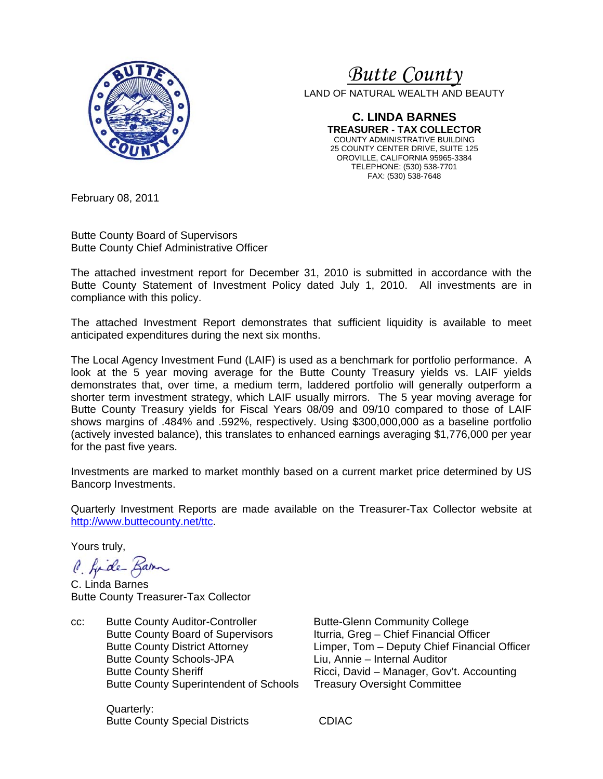

# *Butte County*

LAND OF NATURAL WEALTH AND BEAUTY

**C. LINDA BARNES TREASURER - TAX COLLECTOR**  COUNTY ADMINISTRATIVE BUILDING 25 COUNTY CENTER DRIVE, SUITE 125 OROVILLE, CALIFORNIA 95965-3384 TELEPHONE: (530) 538-7701 FAX: (530) 538-7648

February 08, 2011

Butte County Board of Supervisors Butte County Chief Administrative Officer

The attached investment report for December 31, 2010 is submitted in accordance with the Butte County Statement of Investment Policy dated July 1, 2010. All investments are in compliance with this policy.

The attached Investment Report demonstrates that sufficient liquidity is available to meet anticipated expenditures during the next six months.

The Local Agency Investment Fund (LAIF) is used as a benchmark for portfolio performance. A look at the 5 year moving average for the Butte County Treasury yields vs. LAIF yields demonstrates that, over time, a medium term, laddered portfolio will generally outperform a shorter term investment strategy, which LAIF usually mirrors. The 5 year moving average for Butte County Treasury yields for Fiscal Years 08/09 and 09/10 compared to those of LAIF shows margins of .484% and .592%, respectively. Using \$300,000,000 as a baseline portfolio (actively invested balance), this translates to enhanced earnings averaging \$1,776,000 per year for the past five years.

Investments are marked to market monthly based on a current market price determined by US Bancorp Investments.

Quarterly Investment Reports are made available on the Treasurer-Tax Collector website at http://www.buttecounty.net/ttc.

Yours truly,

C. fide Barn

C. Linda Barnes Butte County Treasurer-Tax Collector

cc: Butte County Auditor-Controller Butte-Glenn Community College Butte County Board of Supervisors Iturria, Greg – Chief Financial Officer Butte County Schools-JPA Liu, Annie – Internal Auditor Butte County Superintendent of Schools Treasury Oversight Committee

 Quarterly: Butte County Special Districts **CDIAC** 

 Butte County District Attorney Limper, Tom – Deputy Chief Financial Officer Butte County Sheriff **Ricci, David – Manager, Gov't. Accounting**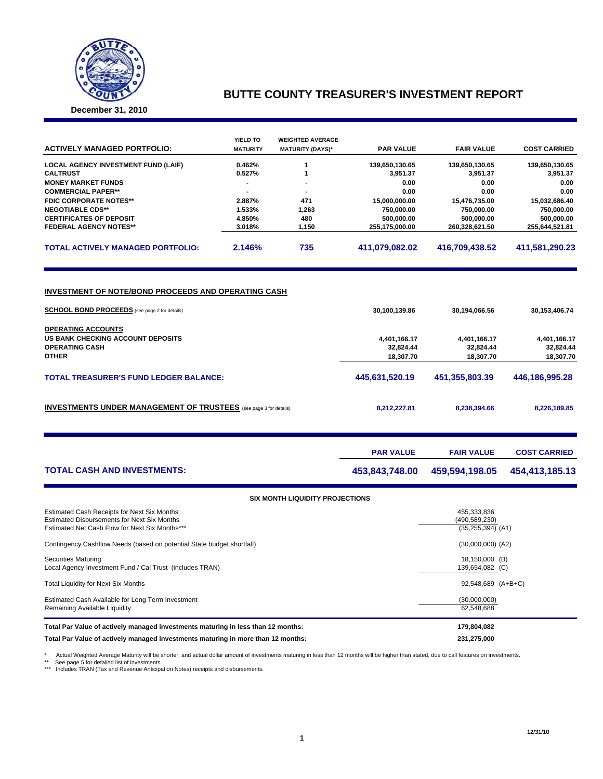

## **BUTTE COUNTY TREASURER'S INVESTMENT REPORT**

**December 31, 2010**

| <b>ACTIVELY MANAGED PORTFOLIO:</b>                                                                      | YIELD TO<br><b>MATURITY</b> | <b>WEIGHTED AVERAGE</b><br><b>MATURITY (DAYS)*</b> | <b>PAR VALUE</b>                       | <b>FAIR VALUE</b>                      | <b>COST CARRIED</b>                    |
|---------------------------------------------------------------------------------------------------------|-----------------------------|----------------------------------------------------|----------------------------------------|----------------------------------------|----------------------------------------|
| <b>LOCAL AGENCY INVESTMENT FUND (LAIF)</b>                                                              | 0.462%                      | 1                                                  | 139,650,130.65                         | 139,650,130.65                         | 139,650,130.65                         |
| <b>CALTRUST</b>                                                                                         | 0.527%                      | 1                                                  | 3,951.37                               | 3,951.37                               | 3,951.37                               |
| <b>MONEY MARKET FUNDS</b>                                                                               | $\blacksquare$              |                                                    | 0.00                                   | 0.00                                   | 0.00                                   |
| <b>COMMERCIAL PAPER**</b>                                                                               | 2.887%                      | 471                                                | 0.00                                   | 0.00                                   | 0.00                                   |
| <b>FDIC CORPORATE NOTES**</b><br><b>NEGOTIABLE CDS**</b>                                                | 1.533%                      | 1,263                                              | 15,000,000.00<br>750,000.00            | 15,476,735.00<br>750,000.00            | 15,032,686.40<br>750,000.00            |
| <b>CERTIFICATES OF DEPOSIT</b>                                                                          | 4.850%                      | 480                                                | 500,000.00                             | 500,000.00                             | 500,000.00                             |
| <b>FEDERAL AGENCY NOTES**</b>                                                                           | 3.018%                      | 1,150                                              | 255,175,000.00                         | 260,328,621.50                         | 255,644,521.81                         |
| <b>TOTAL ACTIVELY MANAGED PORTFOLIO:</b>                                                                | 2.146%                      | 735                                                | 411,079,082.02                         | 416,709,438.52                         | 411,581,290.23                         |
| INVESTMENT OF NOTE/BOND PROCEEDS AND OPERATING CASH                                                     |                             |                                                    |                                        |                                        |                                        |
| <b>SCHOOL BOND PROCEEDS</b> (see page 2 for details)                                                    |                             |                                                    | 30,100,139.86                          | 30,194,066.56                          | 30,153,406.74                          |
| <b>OPERATING ACCOUNTS</b><br>US BANK CHECKING ACCOUNT DEPOSITS<br><b>OPERATING CASH</b><br><b>OTHER</b> |                             |                                                    | 4,401,166.17<br>32,824.44<br>18,307.70 | 4,401,166.17<br>32,824.44<br>18,307.70 | 4,401,166.17<br>32,824.44<br>18,307.70 |
|                                                                                                         |                             |                                                    |                                        |                                        |                                        |
| <b>TOTAL TREASURER'S FUND LEDGER BALANCE:</b>                                                           |                             |                                                    | 445,631,520.19                         | 451,355,803.39                         | 446,186,995.28                         |
| <b>INVESTMENTS UNDER MANAGEMENT OF TRUSTEES</b> (see page 3 for details)                                |                             |                                                    | 8,212,227.81                           | 8,238,394.66                           | 8,226,189.85                           |
|                                                                                                         |                             |                                                    | <b>PAR VALUE</b>                       | <b>FAIR VALUE</b>                      | <b>COST CARRIED</b>                    |
| <b>TOTAL CASH AND INVESTMENTS:</b>                                                                      |                             |                                                    | 453,843,748.00                         | 459,594,198.05                         | 454,413,185.13                         |
|                                                                                                         |                             | SIX MONTH LIQUIDITY PROJECTIONS                    |                                        |                                        |                                        |
| Estimated Cash Receipts for Next Six Months                                                             |                             |                                                    |                                        | 455,333,836                            |                                        |
| <b>Estimated Disbursements for Next Six Months</b>                                                      |                             |                                                    |                                        | (490, 589, 230)                        |                                        |
| Estimated Net Cash Flow for Next Six Months***                                                          |                             |                                                    |                                        | $(35, 255, 394)$ (A1)                  |                                        |
| Contingency Cashflow Needs (based on potential State budget shortfall)                                  |                             |                                                    |                                        | $(30,000,000)$ $(A2)$                  |                                        |
| <b>Securities Maturing</b><br>Local Agency Investment Fund / Cal Trust (includes TRAN)                  |                             |                                                    |                                        | 18,150,000 (B)<br>139,654,082 (C)      |                                        |
| Total Liquidity for Next Six Months                                                                     |                             |                                                    |                                        | 92,548,689 (A+B+C)                     |                                        |
|                                                                                                         |                             |                                                    |                                        |                                        |                                        |
| Estimated Cash Available for Long Term Investment<br>Remaining Available Liquidity                      |                             |                                                    |                                        | (30,000,000)<br>62,548,688             |                                        |
| Total Par Value of actively managed investments maturing in less than 12 months:                        |                             |                                                    |                                        | 179,804,082                            |                                        |
| Total Par Value of actively managed investments maturing in more than 12 months:                        |                             | 231,275,000                                        |                                        |                                        |                                        |

\* Actual Weighted Average Maturity will be shorter, and actual dollar amount of investments maturing in less than 12 months will be higher than stated, due to call features on investments.<br>\*\* See page 5 for detailed list o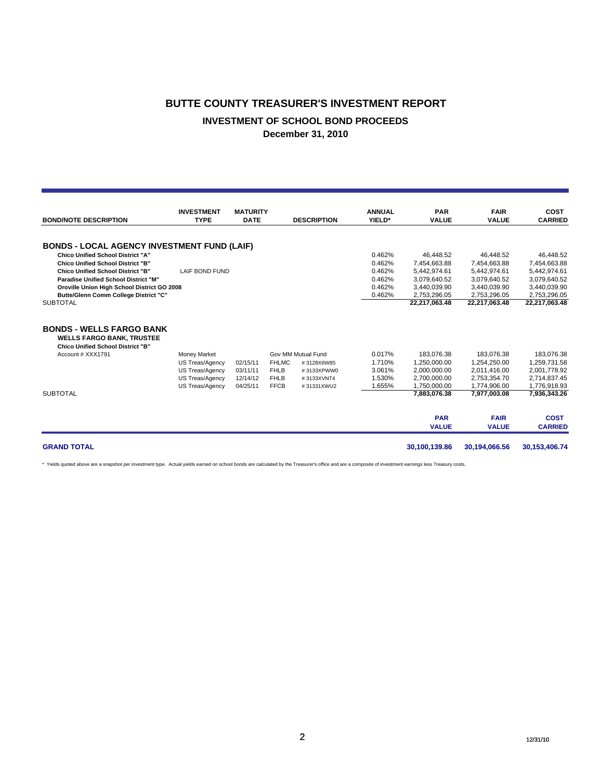#### **BUTTE COUNTY TREASURER'S INVESTMENT REPORT**

### **INVESTMENT OF SCHOOL BOND PROCEEDS**

**December 31, 2010**

| <b>BOND/NOTE DESCRIPTION</b>                                                                                    | <b>INVESTMENT</b><br><b>TYPE</b> | <b>MATURITY</b><br><b>DATE</b> |              | <b>DESCRIPTION</b> | <b>ANNUAL</b><br>YIELD* | <b>PAR</b><br><b>VALUE</b> | <b>FAIR</b><br><b>VALUE</b> | <b>COST</b><br><b>CARRIED</b> |
|-----------------------------------------------------------------------------------------------------------------|----------------------------------|--------------------------------|--------------|--------------------|-------------------------|----------------------------|-----------------------------|-------------------------------|
|                                                                                                                 |                                  |                                |              |                    |                         |                            |                             |                               |
| <b>BONDS - LOCAL AGENCY INVESTMENT FUND (LAIF)</b>                                                              |                                  |                                |              |                    |                         |                            |                             |                               |
| <b>Chico Unified School District "A"</b>                                                                        |                                  |                                |              |                    | 0.462%                  | 46,448.52                  | 46,448.52                   | 46,448.52                     |
| <b>Chico Unified School District "B"</b>                                                                        |                                  |                                |              |                    | 0.462%                  | 7,454,663.88               | 7.454.663.88                | 7,454,663.88                  |
| <b>Chico Unified School District "B"</b>                                                                        | <b>LAIF BOND FUND</b>            |                                |              |                    | 0.462%                  | 5,442,974.61               | 5,442,974.61                | 5,442,974.61                  |
| <b>Paradise Unified School District "M"</b>                                                                     |                                  |                                |              |                    | 0.462%                  | 3,079,640.52               | 3,079,640.52                | 3,079,640.52                  |
| Oroville Union High School District GO 2008                                                                     |                                  |                                |              |                    | 0.462%                  | 3,440,039.90               | 3,440,039.90                | 3,440,039.90                  |
| Butte/Glenn Comm College District "C"                                                                           |                                  |                                |              |                    | 0.462%                  | 2.753.296.05               | 2,753,296.05                | 2,753,296.05                  |
| <b>SUBTOTAL</b>                                                                                                 |                                  |                                |              |                    |                         | 22,217,063.48              | 22,217,063.48               | 22,217,063.48                 |
| <b>BONDS - WELLS FARGO BANK</b><br><b>WELLS FARGO BANK, TRUSTEE</b><br><b>Chico Unified School District "B"</b> |                                  |                                |              |                    |                         |                            |                             |                               |
| Account # XXX1791                                                                                               | Money Market                     |                                |              | Gov MM Mutual Fund | 0.017%                  | 183,076.38                 | 183,076.38                  | 183,076.38                    |
|                                                                                                                 | US Treas/Agency                  | 02/15/11                       | <b>FHLMC</b> | #3128X6W85         | 1.710%                  | 1,250,000.00               | 1,254,250.00                | 1,259,731.58                  |
|                                                                                                                 | US Treas/Agency                  | 03/11/11                       | <b>FHLB</b>  | #3133XPWW0         | 3.061%                  | 2,000,000.00               | 2,011,416.00                | 2,001,778.92                  |
|                                                                                                                 | US Treas/Agency                  | 12/14/12                       | <b>FHLB</b>  | #3133XVNT4         | 1.530%                  | 2,700,000.00               | 2,753,354.70                | 2,714,837.45                  |
|                                                                                                                 | US Treas/Agency                  | 04/25/11                       | <b>FFCB</b>  | #31331XWU2         | 1.655%                  | 1,750,000.00               | 1.774.906.00                | 1,776,918.93                  |
| <b>SUBTOTAL</b>                                                                                                 |                                  |                                |              |                    |                         | 7.883.076.38               | 7,977,003.08                | 7,936,343.26                  |
|                                                                                                                 |                                  |                                |              |                    |                         | <b>PAR</b>                 | <b>FAIR</b>                 | <b>COST</b>                   |
|                                                                                                                 |                                  |                                |              |                    |                         | <b>VALUE</b>               | <b>VALUE</b>                | <b>CARRIED</b>                |
| <b>GRAND TOTAL</b>                                                                                              |                                  |                                |              |                    |                         | 30,100,139.86              | 30,194,066.56               | 30,153,406.74                 |

\* Yields quoted above are a snapshot per investment type. Actual yields earned on school bonds are calculated by the Treasurer's office and are a composite of investment earnings less Treasury costs.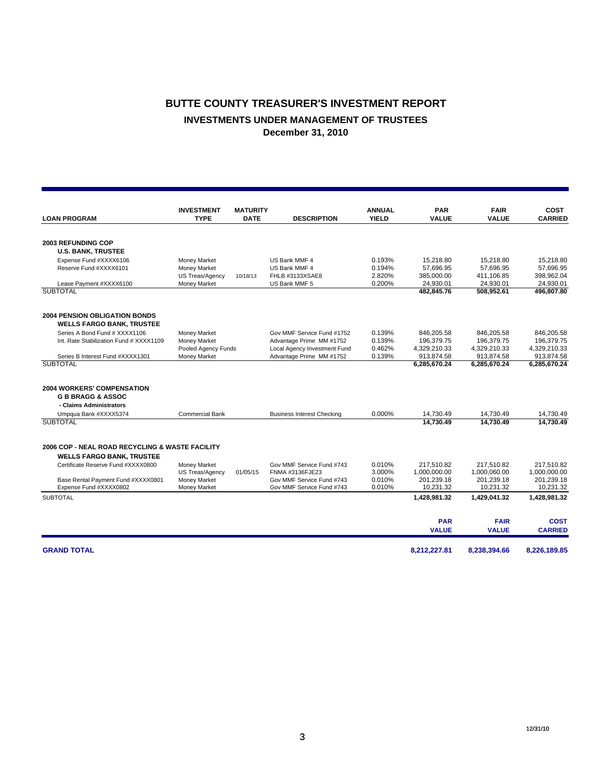## **BUTTE COUNTY TREASURER'S INVESTMENT REPORT INVESTMENTS UNDER MANAGEMENT OF TRUSTEES December 31, 2010**

|                                                 |                                  |                                |                                   |                               |                            |                             | <b>COST</b>    |
|-------------------------------------------------|----------------------------------|--------------------------------|-----------------------------------|-------------------------------|----------------------------|-----------------------------|----------------|
| <b>LOAN PROGRAM</b>                             | <b>INVESTMENT</b><br><b>TYPE</b> | <b>MATURITY</b><br><b>DATE</b> | <b>DESCRIPTION</b>                | <b>ANNUAL</b><br><b>YIELD</b> | <b>PAR</b><br><b>VALUE</b> | <b>FAIR</b><br><b>VALUE</b> | <b>CARRIED</b> |
|                                                 |                                  |                                |                                   |                               |                            |                             |                |
| <b>2003 REFUNDING COP</b>                       |                                  |                                |                                   |                               |                            |                             |                |
| <b>U.S. BANK, TRUSTEE</b>                       |                                  |                                |                                   |                               |                            |                             |                |
| Expense Fund #XXXX6106                          | Money Market                     |                                | US Bank MMF 4                     | 0.193%                        | 15,218.80                  | 15.218.80                   | 15.218.80      |
| Reserve Fund #XXXX6101                          | Money Market                     |                                | US Bank MMF 4                     | 0.194%                        | 57.696.95                  | 57.696.95                   | 57.696.95      |
|                                                 | US Treas/Agency                  | 10/18/13                       | FHLB #3133XSAE8                   | 2.820%                        | 385,000.00                 | 411,106.85                  | 398,962.04     |
| Lease Payment #XXXX6100                         | Money Market                     |                                | US Bank MMF 5                     | 0.200%                        | 24,930.01                  | 24,930.01                   | 24,930.01      |
| <b>SUBTOTAL</b>                                 |                                  |                                |                                   |                               | 482,845.76                 | 508,952.61                  | 496,807.80     |
| <b>2004 PENSION OBLIGATION BONDS</b>            |                                  |                                |                                   |                               |                            |                             |                |
| <b>WELLS FARGO BANK, TRUSTEE</b>                |                                  |                                |                                   |                               |                            |                             |                |
| Series A Bond Fund # XXXX1106                   | <b>Money Market</b>              |                                | Gov MMF Service Fund #1752        | 0.139%                        | 846,205.58                 | 846,205.58                  | 846,205.58     |
| Int. Rate Stabilization Fund # XXXX1109         | Money Market                     |                                | Advantage Prime MM #1752          | 0.139%                        | 196,379.75                 | 196,379.75                  | 196,379.75     |
|                                                 | Pooled Agency Funds              |                                | Local Agency Investment Fund      | 0.462%                        | 4,329,210.33               | 4,329,210.33                | 4,329,210.33   |
| Series B Interest Fund #XXXX1301                | <b>Money Market</b>              |                                | Advantage Prime MM #1752          | 0.139%                        | 913,874.58                 | 913,874.58                  | 913,874.58     |
| <b>SUBTOTAL</b>                                 |                                  |                                |                                   |                               | 6,285,670.24               | 6,285,670.24                | 6,285,670.24   |
| <b>2004 WORKERS' COMPENSATION</b>               |                                  |                                |                                   |                               |                            |                             |                |
| <b>G B BRAGG &amp; ASSOC</b>                    |                                  |                                |                                   |                               |                            |                             |                |
| - Claims Administrators                         |                                  |                                |                                   |                               |                            |                             |                |
| Umpqua Bank #XXXX5374                           | <b>Commercial Bank</b>           |                                | <b>Business Interest Checking</b> | 0.000%                        | 14,730.49                  | 14,730.49                   | 14,730.49      |
| <b>SUBTOTAL</b>                                 |                                  |                                |                                   |                               | 14.730.49                  | 14.730.49                   | 14,730.49      |
|                                                 |                                  |                                |                                   |                               |                            |                             |                |
| 2006 COP - NEAL ROAD RECYCLING & WASTE FACILITY |                                  |                                |                                   |                               |                            |                             |                |
| <b>WELLS FARGO BANK, TRUSTEE</b>                |                                  |                                |                                   |                               |                            |                             |                |
| Certificate Reserve Fund #XXXX0800              | Money Market                     |                                | Gov MMF Service Fund #743         | 0.010%                        | 217,510.82                 | 217.510.82                  | 217.510.82     |
|                                                 | US Treas/Agency                  | 01/05/15                       | FNMA #3136FJE23                   | 3.000%                        | 1,000,000.00               | 1,000,060.00                | 1,000,000.00   |
| Base Rental Payment Fund #XXXX0801              | Money Market                     |                                | Gov MMF Service Fund #743         | 0.010%                        | 201,239.18                 | 201,239.18                  | 201,239.18     |
| Expense Fund #XXXX0802                          | Money Market                     |                                | Gov MMF Service Fund #743         | 0.010%                        | 10,231.32                  | 10,231.32                   | 10,231.32      |
| <b>SUBTOTAL</b>                                 |                                  |                                |                                   |                               | 1,428,981.32               | 1,429,041.32                | 1,428,981.32   |
|                                                 |                                  |                                |                                   |                               | <b>PAR</b>                 | <b>FAIR</b>                 | <b>COST</b>    |
|                                                 |                                  |                                |                                   |                               | <b>VALUE</b>               | <b>VALUE</b>                | <b>CARRIED</b> |
| <b>GRAND TOTAL</b>                              |                                  |                                |                                   |                               | 8,212,227.81               | 8,238,394.66                | 8,226,189.85   |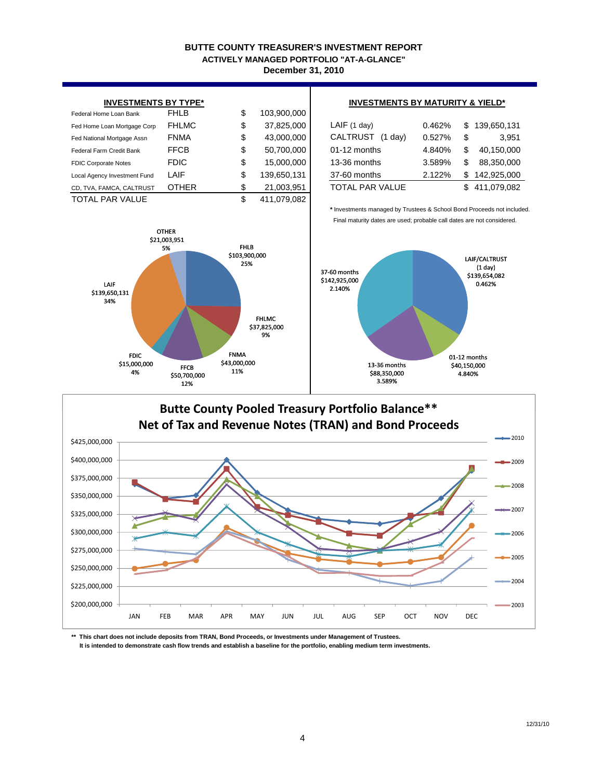#### **BUTTE COUNTY TREASURER'S INVESTMENT REPORT December 31, 2010 ACTIVELY MANAGED PORTFOLIO "AT-A-GLANCE"**

| <b>INVESTMENTS BY TYPE*</b>  |              |    |             | <b>INVESTMENTS BY MATURITY &amp; YIELD*</b> |        |     |               |  |  |
|------------------------------|--------------|----|-------------|---------------------------------------------|--------|-----|---------------|--|--|
| Federal Home Loan Bank       | <b>FHLB</b>  | \$ | 103,900,000 |                                             |        |     |               |  |  |
| Fed Home Loan Mortgage Corp  | <b>FHLMC</b> | \$ | 37,825,000  | LAIF(1 day)                                 | 0.462% | \$  | 139,650,131   |  |  |
| Fed National Mortgage Assn   | <b>FNMA</b>  | \$ | 43,000,000  | CALTRUST<br>(1 day)                         | 0.527% | \$  | 3.951         |  |  |
| Federal Farm Credit Bank     | <b>FFCB</b>  | \$ | 50,700,000  | $01-12$ months                              | 4.840% | \$  | 40,150,000    |  |  |
| <b>FDIC Corporate Notes</b>  | <b>FDIC</b>  | \$ | 15,000,000  | 13-36 months                                | 3.589% | \$  | 88,350,000    |  |  |
| Local Agency Investment Fund | LAIF         | \$ | 139,650,131 | 37-60 months                                | 2.122% | \$. | 142,925,000   |  |  |
| CD, TVA, FAMCA, CALTRUST     | <b>OTHER</b> | \$ | 21,003,951  | TOTAL PAR VALUE                             |        |     | \$411,079,082 |  |  |
| <b>TOTAL PAR VALUE</b>       |              | \$ | 411.079.082 |                                             |        |     |               |  |  |



#### **INVESTMENTS BY MATURITY & YIELD\***

| LAIF(1 day)            | 0.462% | \$139,650,131 |
|------------------------|--------|---------------|
| CALTRUST (1 day)       | 0.527% | \$<br>3.951   |
| 01-12 months           | 4.840% | 40,150,000    |
| 13-36 months           | 3.589% | 88.350.000    |
| 37-60 months           | 2.122% | \$142,925,000 |
| <b>TOTAL PAR VALUE</b> |        | 411,079,082   |

**\*** Investments managed by Trustees & School Bond Proceeds not included. Final maturity dates are used; probable call dates are not considered.



#### **Butte County Pooled Treasury Portfolio Balance\*\*** \$200,000,000 \$225,000,000 \$250,000,000 \$275,000,000 \$300,000,000 \$325,000,000 \$350,000,000 \$375,000,000 \$400,000,000 \$425,000,000 JAN FEB MAR APR MAY JUN JUL AUG SEP OCT NOV DEC **Net of Tax and Revenue Notes (TRAN) and Bond Proceeds** 2010 2009 2008 2007 2006 2005 2004 2003

**\*\* This chart does not include deposits from TRAN, Bond Proceeds, or Investments under Management of Trustees. It is intended to demonstrate cash flow trends and establish a baseline for the portfolio, enabling medium term investments.**